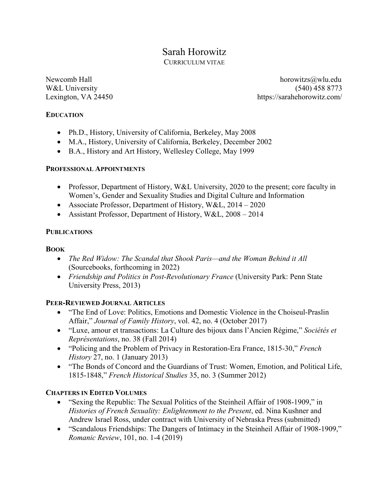# Sarah Horowitz

CURRICULUM VITAE

Newcomb Hall horowitzs a local horowitzs a local horowitzs a local horowitzs a local horowitz said which has been a local horowitz said which has been a local horowitz said which has been a local horowitz said which has be W&L University (540) 458 8773 Lexington, VA 24450 https://sarahehorowitz.com/

#### **EDUCATION**

- Ph.D., History, University of California, Berkeley, May 2008
- M.A., History, University of California, Berkeley, December 2002
- B.A., History and Art History, Wellesley College, May 1999

## **PROFESSIONAL APPOINTMENTS**

- Professor, Department of History, W&L University, 2020 to the present; core faculty in Women's, Gender and Sexuality Studies and Digital Culture and Information
- Associate Professor, Department of History, W&L, 2014 2020
- Assistant Professor, Department of History, W&L, 2008 2014

## **PUBLICATIONS**

## **BOOK**

- *The Red Widow: The Scandal that Shook Paris—and the Woman Behind it All* (Sourcebooks, forthcoming in 2022)
- *Friendship and Politics in Post-Revolutionary France* (University Park: Penn State University Press, 2013)

# **PEER-REVIEWED JOURNAL ARTICLES**

- "The End of Love: Politics, Emotions and Domestic Violence in the Choiseul-Praslin Affair," *Journal of Family History*, vol. 42, no. 4 (October 2017)
- "Luxe, amour et transactions: La Culture des bijoux dans l'Ancien Régime," *Sociétés et Représentations*, no. 38 (Fall 2014)
- "Policing and the Problem of Privacy in Restoration-Era France, 1815-30," *French History* 27, no. 1 (January 2013)
- "The Bonds of Concord and the Guardians of Trust: Women, Emotion, and Political Life, 1815-1848," *French Historical Studies* 35, no. 3 (Summer 2012)

# **CHAPTERS IN EDITED VOLUMES**

- "Sexing the Republic: The Sexual Politics of the Steinheil Affair of 1908-1909," in *Histories of French Sexuality: Enlightenment to the Present*, ed. Nina Kushner and Andrew Israel Ross, under contract with University of Nebraska Press (submitted)
- "Scandalous Friendships: The Dangers of Intimacy in the Steinheil Affair of 1908-1909," *Romanic Review*, 101, no. 1-4 (2019)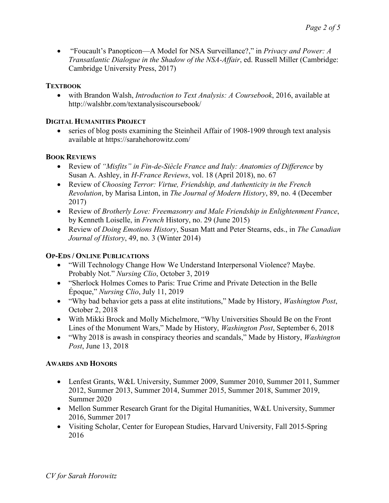• "Foucault's Panopticon—A Model for NSA Surveillance?," in *Privacy and Power: A Transatlantic Dialogue in the Shadow of the NSA-Affair*, ed. Russell Miller (Cambridge: Cambridge University Press, 2017)

#### **TEXTBOOK**

• with Brandon Walsh, *Introduction to Text Analysis: A Coursebook*, 2016, available at http://walshbr.com/textanalysiscoursebook/

#### **DIGITAL HUMANITIES PROJECT**

• series of blog posts examining the Steinheil Affair of 1908-1909 through text analysis available at https://sarahehorowitz.com/

## **BOOK REVIEWS**

- Review of *"Misfits" in Fin-de-Siècle France and Italy: Anatomies of Difference* by Susan A. Ashley, in *H-France Reviews*, vol. 18 (April 2018), no. 67
- Review of *Choosing Terror: Virtue, Friendship, and Authenticity in the French Revolution*, by Marisa Linton, in *The Journal of Modern History*, 89, no. 4 (December 2017)
- Review of *Brotherly Love: Freemasonry and Male Friendship in Enlightenment France*, by Kenneth Loiselle, in *French* History, no. 29 (June 2015)
- Review of *Doing Emotions History*, Susan Matt and Peter Stearns, eds., in *The Canadian Journal of History*, 49, no. 3 (Winter 2014)

# **OP-EDS / ONLINE PUBLICATIONS**

- "Will Technology Change How We Understand Interpersonal Violence? Maybe. Probably Not." *Nursing Clio*, October 3, 2019
- "Sherlock Holmes Comes to Paris: True Crime and Private Detection in the Belle Époque," *Nursing Clio*, July 11, 2019
- "Why bad behavior gets a pass at elite institutions," Made by History, *Washington Post*, October 2, 2018
- With Mikki Brock and Molly Michelmore, "Why Universities Should Be on the Front Lines of the Monument Wars," Made by History, *Washington Post*, September 6, 2018
- "Why 2018 is awash in conspiracy theories and scandals," Made by History, *Washington Post*, June 13, 2018

#### **AWARDS AND HONORS**

- Lenfest Grants, W&L University, Summer 2009, Summer 2010, Summer 2011, Summer 2012, Summer 2013, Summer 2014, Summer 2015, Summer 2018, Summer 2019, Summer 2020
- Mellon Summer Research Grant for the Digital Humanities, W&L University, Summer 2016, Summer 2017
- Visiting Scholar, Center for European Studies, Harvard University, Fall 2015-Spring 2016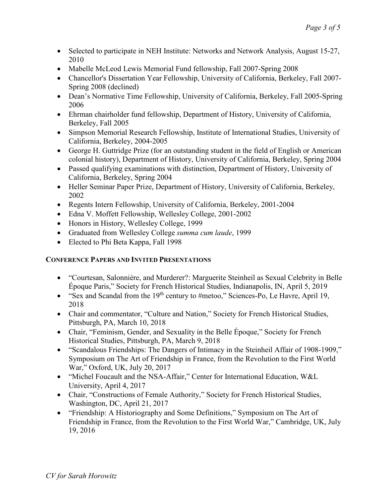- Selected to participate in NEH Institute: Networks and Network Analysis, August 15-27, 2010
- Mabelle McLeod Lewis Memorial Fund fellowship, Fall 2007-Spring 2008
- Chancellor's Dissertation Year Fellowship, University of California, Berkeley, Fall 2007- Spring 2008 (declined)
- Dean's Normative Time Fellowship, University of California, Berkeley, Fall 2005-Spring 2006
- Ehrman chairholder fund fellowship, Department of History, University of California, Berkeley, Fall 2005
- Simpson Memorial Research Fellowship, Institute of International Studies, University of California, Berkeley, 2004-2005
- George H. Guttridge Prize (for an outstanding student in the field of English or American colonial history), Department of History, University of California, Berkeley, Spring 2004
- Passed qualifying examinations with distinction, Department of History, University of California, Berkeley, Spring 2004
- Heller Seminar Paper Prize, Department of History, University of California, Berkeley, 2002
- Regents Intern Fellowship, University of California, Berkeley, 2001-2004
- Edna V. Moffett Fellowship, Wellesley College, 2001-2002
- Honors in History, Wellesley College, 1999
- Graduated from Wellesley College *summa cum laude*, 1999
- Elected to Phi Beta Kappa, Fall 1998

# **CONFERENCE PAPERS AND INVITED PRESENTATIONS**

- "Courtesan, Salonnière, and Murderer?: Marguerite Steinheil as Sexual Celebrity in Belle Époque Paris," Society for French Historical Studies, Indianapolis, IN, April 5, 2019
- "Sex and Scandal from the  $19<sup>th</sup>$  century to #metoo," Sciences-Po, Le Havre, April 19, 2018
- Chair and commentator, "Culture and Nation," Society for French Historical Studies, Pittsburgh, PA, March 10, 2018
- Chair, "Feminism, Gender, and Sexuality in the Belle Époque," Society for French Historical Studies, Pittsburgh, PA, March 9, 2018
- "Scandalous Friendships: The Dangers of Intimacy in the Steinheil Affair of 1908-1909," Symposium on The Art of Friendship in France, from the Revolution to the First World War," Oxford, UK, July 20, 2017
- "Michel Foucault and the NSA-Affair," Center for International Education, W&L University, April 4, 2017
- Chair, "Constructions of Female Authority," Society for French Historical Studies, Washington, DC, April 21, 2017
- "Friendship: A Historiography and Some Definitions," Symposium on The Art of Friendship in France, from the Revolution to the First World War," Cambridge, UK, July 19, 2016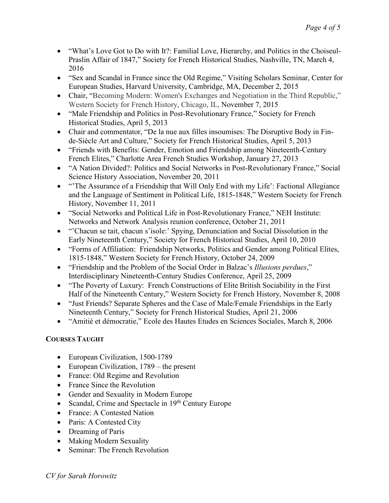- "What's Love Got to Do with It?: Familial Love, Hierarchy, and Politics in the Choiseul-Praslin Affair of 1847," Society for French Historical Studies, Nashville, TN, March 4, 2016
- "Sex and Scandal in France since the Old Regime," Visiting Scholars Seminar, Center for European Studies, Harvard University, Cambridge, MA, December 2, 2015
- Chair, "Becoming Modern: Women's Exchanges and Negotiation in the Third Republic," Western Society for French History, Chicago, IL, November 7, 2015
- "Male Friendship and Politics in Post-Revolutionary France," Society for French Historical Studies, April 5, 2013
- Chair and commentator, "De la nue aux filles insoumises: The Disruptive Body in Finde-Siècle Art and Culture," Society for French Historical Studies, April 5, 2013
- "Friends with Benefits: Gender, Emotion and Friendship among Nineteenth-Century French Elites," Charlotte Area French Studies Workshop, January 27, 2013
- "A Nation Divided?: Politics and Social Networks in Post-Revolutionary France," Social Science History Association, November 20, 2011
- "The Assurance of a Friendship that Will Only End with my Life': Factional Allegiance and the Language of Sentiment in Political Life, 1815-1848," Western Society for French History, November 11, 2011
- "Social Networks and Political Life in Post-Revolutionary France," NEH Institute: Networks and Network Analysis reunion conference, October 21, 2011
- "Chacun se tait, chacun s'isole:' Spying, Denunciation and Social Dissolution in the Early Nineteenth Century," Society for French Historical Studies, April 10, 2010
- "Forms of Affiliation: Friendship Networks, Politics and Gender among Political Elites, 1815-1848," Western Society for French History, October 24, 2009
- "Friendship and the Problem of the Social Order in Balzac's *Illusions perdues*," Interdisciplinary Nineteenth-Century Studies Conference, April 25, 2009
- "The Poverty of Luxury: French Constructions of Elite British Sociability in the First Half of the Nineteenth Century," Western Society for French History, November 8, 2008
- "Just Friends? Separate Spheres and the Case of Male/Female Friendships in the Early Nineteenth Century," Society for French Historical Studies, April 21, 2006
- "Amitié et démocratie," Ecole des Hautes Etudes en Sciences Sociales, March 8, 2006

# **COURSES TAUGHT**

- European Civilization, 1500-1789
- European Civilization, 1789 the present
- France: Old Regime and Revolution
- France Since the Revolution
- Gender and Sexuality in Modern Europe
- Scandal, Crime and Spectacle in  $19<sup>th</sup>$  Century Europe
- France: A Contested Nation
- Paris: A Contested City
- Dreaming of Paris
- Making Modern Sexuality
- Seminar: The French Revolution

*CV for Sarah Horowitz*